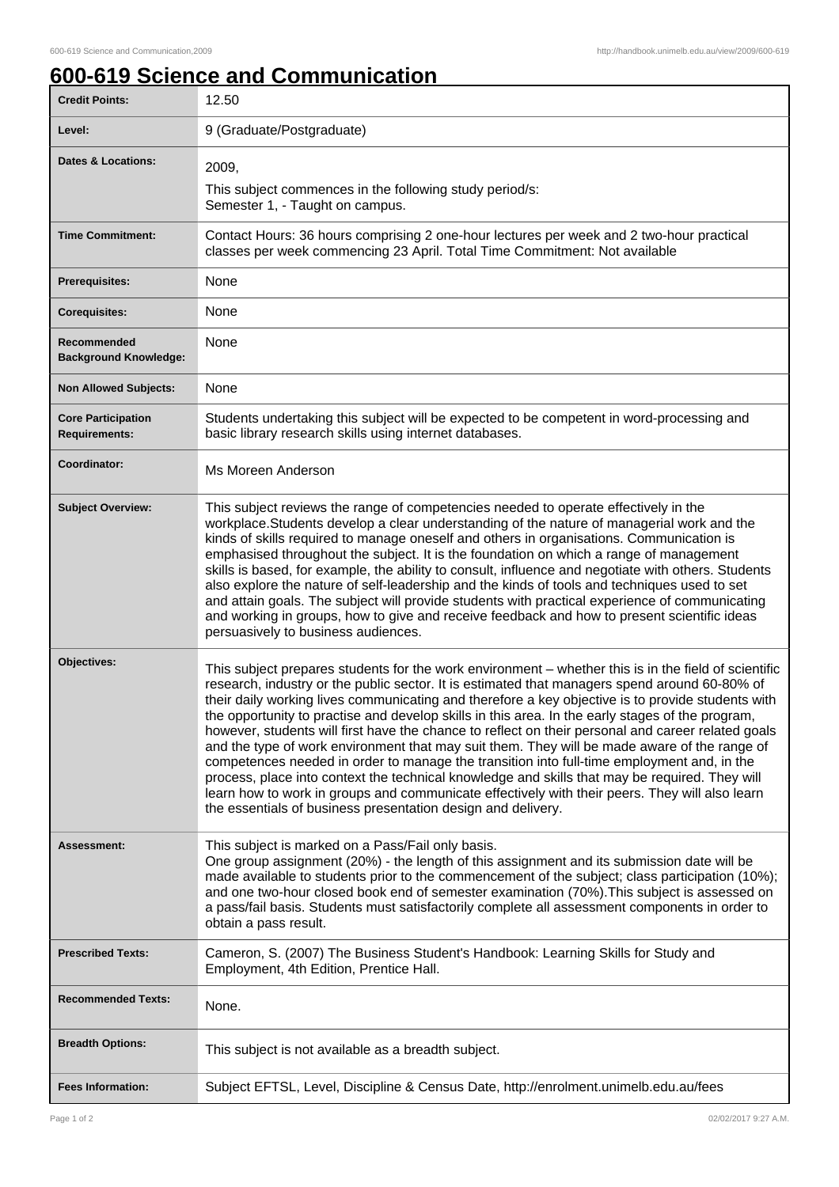ı

## **600-619 Science and Communication**

| <b>Credit Points:</b>                             | 12.50                                                                                                                                                                                                                                                                                                                                                                                                                                                                                                                                                                                                                                                                                                                                                                                                                                                                                                                                                                                  |
|---------------------------------------------------|----------------------------------------------------------------------------------------------------------------------------------------------------------------------------------------------------------------------------------------------------------------------------------------------------------------------------------------------------------------------------------------------------------------------------------------------------------------------------------------------------------------------------------------------------------------------------------------------------------------------------------------------------------------------------------------------------------------------------------------------------------------------------------------------------------------------------------------------------------------------------------------------------------------------------------------------------------------------------------------|
| Level:                                            | 9 (Graduate/Postgraduate)                                                                                                                                                                                                                                                                                                                                                                                                                                                                                                                                                                                                                                                                                                                                                                                                                                                                                                                                                              |
| <b>Dates &amp; Locations:</b>                     | 2009,                                                                                                                                                                                                                                                                                                                                                                                                                                                                                                                                                                                                                                                                                                                                                                                                                                                                                                                                                                                  |
|                                                   | This subject commences in the following study period/s:<br>Semester 1, - Taught on campus.                                                                                                                                                                                                                                                                                                                                                                                                                                                                                                                                                                                                                                                                                                                                                                                                                                                                                             |
| <b>Time Commitment:</b>                           | Contact Hours: 36 hours comprising 2 one-hour lectures per week and 2 two-hour practical<br>classes per week commencing 23 April. Total Time Commitment: Not available                                                                                                                                                                                                                                                                                                                                                                                                                                                                                                                                                                                                                                                                                                                                                                                                                 |
| <b>Prerequisites:</b>                             | None                                                                                                                                                                                                                                                                                                                                                                                                                                                                                                                                                                                                                                                                                                                                                                                                                                                                                                                                                                                   |
| <b>Corequisites:</b>                              | None                                                                                                                                                                                                                                                                                                                                                                                                                                                                                                                                                                                                                                                                                                                                                                                                                                                                                                                                                                                   |
| Recommended<br><b>Background Knowledge:</b>       | None                                                                                                                                                                                                                                                                                                                                                                                                                                                                                                                                                                                                                                                                                                                                                                                                                                                                                                                                                                                   |
| <b>Non Allowed Subjects:</b>                      | None                                                                                                                                                                                                                                                                                                                                                                                                                                                                                                                                                                                                                                                                                                                                                                                                                                                                                                                                                                                   |
| <b>Core Participation</b><br><b>Requirements:</b> | Students undertaking this subject will be expected to be competent in word-processing and<br>basic library research skills using internet databases.                                                                                                                                                                                                                                                                                                                                                                                                                                                                                                                                                                                                                                                                                                                                                                                                                                   |
| Coordinator:                                      | Ms Moreen Anderson                                                                                                                                                                                                                                                                                                                                                                                                                                                                                                                                                                                                                                                                                                                                                                                                                                                                                                                                                                     |
| <b>Subject Overview:</b>                          | This subject reviews the range of competencies needed to operate effectively in the<br>workplace. Students develop a clear understanding of the nature of managerial work and the<br>kinds of skills required to manage oneself and others in organisations. Communication is<br>emphasised throughout the subject. It is the foundation on which a range of management<br>skills is based, for example, the ability to consult, influence and negotiate with others. Students<br>also explore the nature of self-leadership and the kinds of tools and techniques used to set<br>and attain goals. The subject will provide students with practical experience of communicating<br>and working in groups, how to give and receive feedback and how to present scientific ideas<br>persuasively to business audiences.                                                                                                                                                                 |
| Objectives:                                       | This subject prepares students for the work environment – whether this is in the field of scientific<br>research, industry or the public sector. It is estimated that managers spend around 60-80% of<br>their daily working lives communicating and therefore a key objective is to provide students with<br>the opportunity to practise and develop skills in this area. In the early stages of the program,<br>however, students will first have the chance to reflect on their personal and career related goals<br>and the type of work environment that may suit them. They will be made aware of the range of<br>competences needed in order to manage the transition into full-time employment and, in the<br>process, place into context the technical knowledge and skills that may be required. They will<br>learn how to work in groups and communicate effectively with their peers. They will also learn<br>the essentials of business presentation design and delivery. |
| Assessment:                                       | This subject is marked on a Pass/Fail only basis.<br>One group assignment (20%) - the length of this assignment and its submission date will be<br>made available to students prior to the commencement of the subject; class participation (10%);<br>and one two-hour closed book end of semester examination (70%). This subject is assessed on<br>a pass/fail basis. Students must satisfactorily complete all assessment components in order to<br>obtain a pass result.                                                                                                                                                                                                                                                                                                                                                                                                                                                                                                           |
| <b>Prescribed Texts:</b>                          | Cameron, S. (2007) The Business Student's Handbook: Learning Skills for Study and<br>Employment, 4th Edition, Prentice Hall.                                                                                                                                                                                                                                                                                                                                                                                                                                                                                                                                                                                                                                                                                                                                                                                                                                                           |
| <b>Recommended Texts:</b>                         | None.                                                                                                                                                                                                                                                                                                                                                                                                                                                                                                                                                                                                                                                                                                                                                                                                                                                                                                                                                                                  |
| <b>Breadth Options:</b>                           | This subject is not available as a breadth subject.                                                                                                                                                                                                                                                                                                                                                                                                                                                                                                                                                                                                                                                                                                                                                                                                                                                                                                                                    |
| <b>Fees Information:</b>                          | Subject EFTSL, Level, Discipline & Census Date, http://enrolment.unimelb.edu.au/fees                                                                                                                                                                                                                                                                                                                                                                                                                                                                                                                                                                                                                                                                                                                                                                                                                                                                                                   |